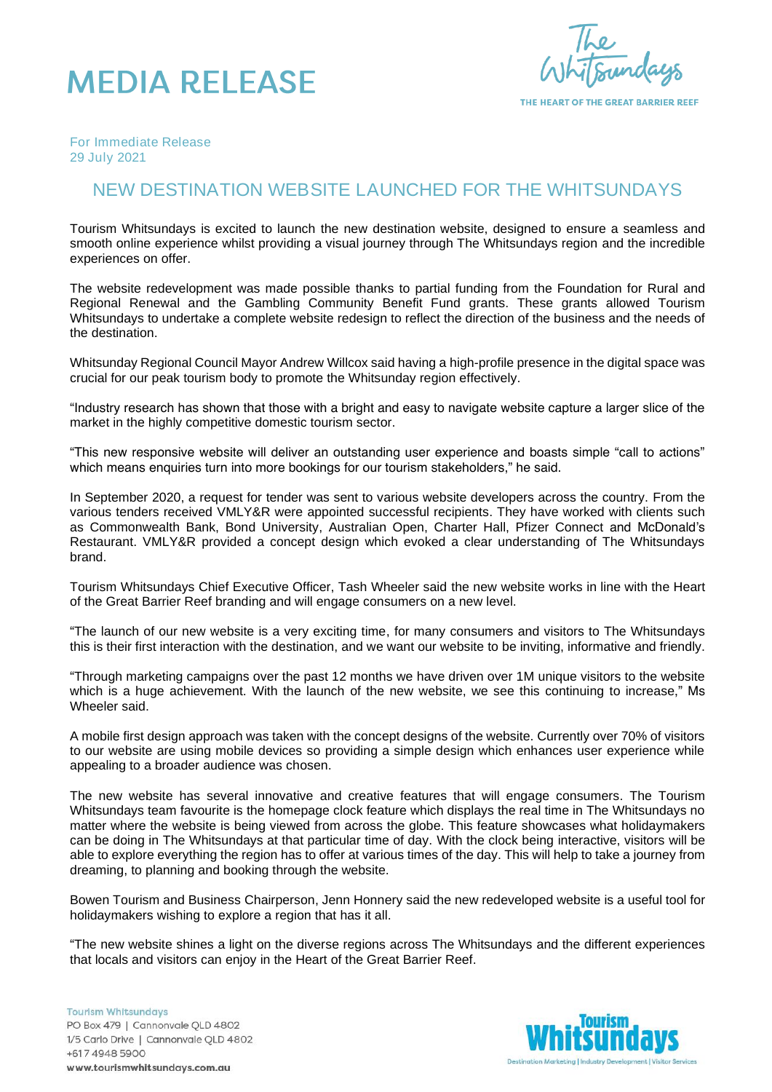

THE HEART OF THE GREAT BARRIER REEF

*For Immediate Release 29 July 2021*

## NEW DESTINATION WEBSITE LAUNCHED FOR THE WHITSUNDAYS

Tourism Whitsundays is excited to launch the new destination website, designed to ensure a seamless and smooth online experience whilst providing a visual journey through The Whitsundays region and the incredible experiences on offer.

The website redevelopment was made possible thanks to partial funding from the Foundation for Rural and Regional Renewal and the Gambling Community Benefit Fund grants. These grants allowed Tourism Whitsundays to undertake a complete website redesign to reflect the direction of the business and the needs of the destination.

Whitsunday Regional Council Mayor Andrew Willcox said having a high-profile presence in the digital space was crucial for our peak tourism body to promote the Whitsunday region effectively.

"Industry research has shown that those with a bright and easy to navigate website capture a larger slice of the market in the highly competitive domestic tourism sector.

"This new responsive website will deliver an outstanding user experience and boasts simple "call to actions" which means enquiries turn into more bookings for our tourism stakeholders," he said.

In September 2020, a request for tender was sent to various website developers across the country. From the various tenders received VMLY&R were appointed successful recipients. They have worked with clients such as Commonwealth Bank, Bond University, Australian Open, Charter Hall, Pfizer Connect and McDonald's Restaurant. VMLY&R provided a concept design which evoked a clear understanding of The Whitsundays brand.

Tourism Whitsundays Chief Executive Officer, Tash Wheeler said the new website works in line with the Heart of the Great Barrier Reef branding and will engage consumers on a new level.

"The launch of our new website is a very exciting time, for many consumers and visitors to The Whitsundays this is their first interaction with the destination, and we want our website to be inviting, informative and friendly.

"Through marketing campaigns over the past 12 months we have driven over 1M unique visitors to the website which is a huge achievement. With the launch of the new website, we see this continuing to increase." Ms Wheeler said.

A mobile first design approach was taken with the concept designs of the website. Currently over 70% of visitors to our website are using mobile devices so providing a simple design which enhances user experience while appealing to a broader audience was chosen.

The new website has several innovative and creative features that will engage consumers. The Tourism Whitsundays team favourite is the homepage clock feature which displays the real time in The Whitsundays no matter where the website is being viewed from across the globe. This feature showcases what holidaymakers can be doing in The Whitsundays at that particular time of day. With the clock being interactive, visitors will be able to explore everything the region has to offer at various times of the day. This will help to take a journey from dreaming, to planning and booking through the website.

Bowen Tourism and Business Chairperson, Jenn Honnery said the new redeveloped website is a useful tool for holidaymakers wishing to explore a region that has it all.

"The new website shines a light on the diverse regions across The Whitsundays and the different experiences that locals and visitors can enjoy in the Heart of the Great Barrier Reef.

**Tourism Whitsundays** PO Box 479 | Cannonvale QLD 4802 1/5 Carlo Drive | Cannonvale QLD 4802 +617 4948 5900 www.tourismwhitsundays.com.au